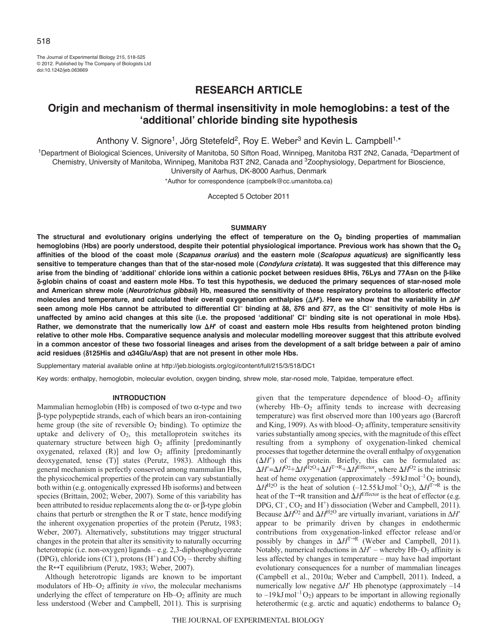The Journal of Experimental Biology 215, 518-525 © 2012. Published by The Company of Biologists Ltd doi:10.1242/jeb.063669

# **RESEARCH ARTICLE**

# **Origin and mechanism of thermal insensitivity in mole hemoglobins: a test of the ʻadditional' chloride binding site hypothesis**

Anthony V. Signore<sup>1</sup>, Jörg Stetefeld<sup>2</sup>, Roy E. Weber<sup>3</sup> and Kevin L. Campbell<sup>1,\*</sup>

<sup>1</sup>Department of Biological Sciences, University of Manitoba, 50 Sifton Road, Winnipeg, Manitoba R3T 2N2, Canada, <sup>2</sup>Department of Chemistry, University of Manitoba, Winnipeg, Manitoba R3T 2N2, Canada and 3Zoophysiology, Department for Bioscience,

University of Aarhus, DK-8000 Aarhus, Denmark

\*Author for correspondence (campbelk@cc.umanitoba.ca)

Accepted 5 October 2011

### **SUMMARY**

The structural and evolutionary origins underlying the effect of temperature on the O<sub>2</sub> binding properties of mammalian **hemoglobins (Hbs) are poorly understood, despite their potential physiological importance. Previous work has shown that the O2 affinities of the blood of the coast mole (***Scapanus orarius***) and the eastern mole (***Scalopus aquaticus***) are significantly less sensitive to temperature changes than that of the star-nosed mole (***Condylura cristata***). It was suggested that this difference may arise from the binding of ʻadditional' chloride ions within a cationic pocket between residues 8His, 76Lys and 77Asn on the -like -globin chains of coast and eastern mole Hbs. To test this hypothesis, we deduced the primary sequences of star-nosed mole and American shrew mole (***Neurotrichus gibbsii***) Hb, measured the sensitivity of these respiratory proteins to allosteric effector** molecules and temperature, and calculated their overall oxygenation enthalpies (ΔH'). Here we show that the variability in ΔH' **seen among mole Hbs cannot be attributed to differential Cl– binding at 8, 76 and 77, as the Cl– sensitivity of mole Hbs is unaffected by amino acid changes at this site (i.e. the proposed ʻadditional' Cl– binding site is not operational in mole Hbs).** Rather, we demonstrate that the numerically low  $\Delta H'$  of coast and eastern mole Hbs results from heightened proton binding **relative to other mole Hbs. Comparative sequence analysis and molecular modelling moreover suggest that this attribute evolved in a common ancestor of these two fossorial lineages and arises from the development of a salt bridge between a pair of amino acid residues (125His and 34Glu/Asp) that are not present in other mole Hbs.**

Supplementary material available online at http://jeb.biologists.org/cgi/content/full/215/3/518/DC1

Key words: enthalpy, hemoglobin, molecular evolution, oxygen binding, shrew mole, star-nosed mole, Talpidae, temperature effect.

### **INTRODUCTION**

Mammalian hemoglobin (Hb) is composed of two  $\alpha$ -type and two -type polypeptide strands, each of which bears an iron-containing heme group (the site of reversible  $O_2$  binding). To optimize the uptake and delivery of  $O_2$ , this metalloprotein switches its quaternary structure between high  $O<sub>2</sub>$  affinity [predominantly oxygenated, relaxed  $(R)$ ] and low  $O<sub>2</sub>$  affinity [predominantly deoxygenated, tense (T)] states (Perutz, 1983). Although this general mechanism is perfectly conserved among mammalian Hbs, the physicochemical properties of the protein can vary substantially both within (e.g. ontogenically expressed Hb isoforms) and between species (Brittain, 2002; Weber, 2007). Some of this variability has been attributed to residue replacements along the  $\alpha$ - or  $\beta$ -type globin chains that perturb or strengthen the R or T state, hence modifying the inherent oxygenation properties of the protein (Perutz, 1983; Weber, 2007). Alternatively, substitutions may trigger structural changes in the protein that alter its sensitivity to naturally occurring heterotropic (i.e. non-oxygen) ligands – e.g. 2,3-diphosphoglycerate (DPG), chloride ions (Cl<sup>-</sup>), protons (H<sup>+</sup>) and  $CO<sub>2</sub>$  – thereby shifting the  $R \leftrightarrow T$  equilibrium (Perutz, 1983; Weber, 2007).

Although heterotropic ligands are known to be important modulators of Hb–O<sub>2</sub> affinity *in vivo*, the molecular mechanisms underlying the effect of temperature on  $Hb-O<sub>2</sub>$  affinity are much less understood (Weber and Campbell, 2011). This is surprising given that the temperature dependence of blood– $O_2$  affinity (whereby  $Hb-O<sub>2</sub>$  affinity tends to increase with decreasing temperature) was first observed more than 100years ago (Barcroft and King, 1909). As with blood– $O_2$  affinity, temperature sensitivity varies substantially among species, with the magnitude of this effect resulting from a symphony of oxygenation-linked chemical processes that together determine the overall enthalpy of oxygenation  $(\Delta H')$  of the protein. Briefly, this can be formulated as:  $\Delta H' = \Delta H^{O2} + \Delta H^{\text{H}_2O} + \Delta H^{T \to R} + \Delta H^{\text{Effector}}$ , where  $\Delta H^{O2}$  is the intrinsic heat of heme oxygenation (approximately  $-59 \text{ kJ} \text{mol}^{-1} \text{O}_2$  bound),  $\Delta H^{\text{H}_2\text{O}}$  is the heat of solution (-12.55 kJmol<sup>-1</sup>O<sub>2</sub>),  $\Delta H^{\text{T-R}}$  is the heat of the T $\rightarrow$ R transition and  $\Delta H^{\text{Effector}}$  is the heat of effector (e.g. DPG, Cl<sup>-</sup>, CO<sub>2</sub> and H<sup>+</sup>) dissociation (Weber and Campbell, 2011). Because  $\Delta H^{O_2}$  and  $\Delta H^{H_2O}$  are virtually invariant, variations in  $\Delta H'$ appear to be primarily driven by changes in endothermic contributions from oxygenation-linked effector release and/or possibly by changes in  $\Delta H^{T\rightarrow R}$  (Weber and Campbell, 2011). Notably, numerical reductions in  $\Delta H'$  – whereby Hb–O<sub>2</sub> affinity is less affected by changes in temperature – may have had important evolutionary consequences for a number of mammalian lineages (Campbell et al., 2010a; Weber and Campbell, 2011). Indeed, a numerically low negative  $\Delta H'$  Hb phenotype (approximately  $-14$ ) to  $-19 \text{ kJ} \text{mol}^{-1} \text{O}_2$ ) appears to be important in allowing regionally heterothermic (e.g. arctic and aquatic) endotherms to balance  $O_2$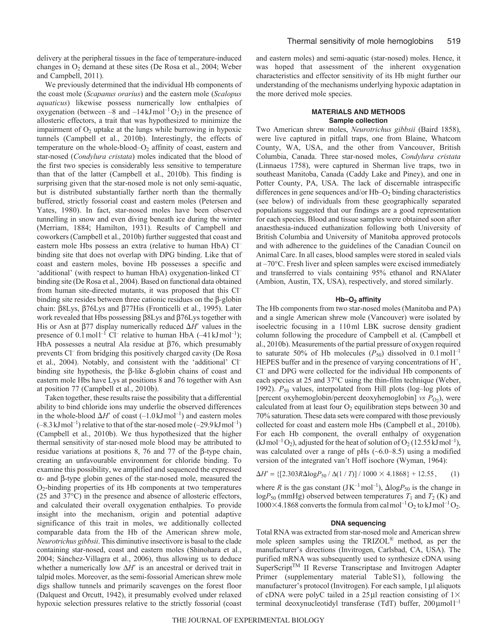delivery at the peripheral tissues in the face of temperature-induced changes in  $O<sub>2</sub>$  demand at these sites (De Rosa et al., 2004; Weber and Campbell, 2011).

We previously determined that the individual Hb components of the coast mole (*Scapanus orarius*) and the eastern mole (*Scalopus aquaticus*) likewise possess numerically low enthalpies of oxygenation (between  $-8$  and  $-14 \text{ kJ} \text{mol}^{-1} \text{O}_2$ ) in the presence of allosteric effectors, a trait that was hypothesized to minimize the impairment of  $O<sub>2</sub>$  uptake at the lungs while burrowing in hypoxic tunnels (Campbell et al., 2010b). Interestingly, the effects of temperature on the whole-blood– $O_2$  affinity of coast, eastern and star-nosed (*Condylura cristata*) moles indicated that the blood of the first two species is considerably less sensitive to temperature than that of the latter (Campbell et al., 2010b). This finding is surprising given that the star-nosed mole is not only semi-aquatic, but is distributed substantially farther north than the thermally buffered, strictly fossorial coast and eastern moles (Petersen and Yates, 1980). In fact, star-nosed moles have been observed tunnelling in snow and even diving beneath ice during the winter (Merriam, 1884; Hamilton, 1931). Results of Campbell and coworkers (Campbell et al., 2010b) further suggested that coast and eastern mole Hbs possess an extra (relative to human HbA) Cl– binding site that does not overlap with DPG binding. Like that of coast and eastern moles, bovine Hb possesses a specific and 'additional' (with respect to human HbA) oxygenation-linked Cl– binding site (De Rosa et al., 2004). Based on functional data obtained from human site-directed mutants, it was proposed that this Cl– binding site resides between three cationic residues on the  $\beta$ -globin chain: β8Lys, β76Lys and β77His (Fronticelli et al., 1995). Later work revealed that Hbs possessing  $\beta$ 8Lys and  $\beta$ 76Lys together with His or Asn at  $\beta$ 77 display numerically reduced  $\Delta H'$  values in the presence of  $0.1 \text{ mol}^{-1}$  Cl<sup>-</sup> relative to human HbA  $(-41 \text{ kJ} \text{ mol}^{-1})$ ; HbA possesses a neutral Ala residue at  $\beta$ 76, which presumably prevents Cl– from bridging this positively charged cavity (De Rosa et al., 2004). Notably, and consistent with the 'additional' Cl– binding site hypothesis, the  $\beta$ -like  $\delta$ -globin chains of coast and eastern mole Hbs have Lys at positions 8 and 76 together with Asn at position 77 (Campbell et al., 2010b).

Taken together, these results raise the possibility that a differential ability to bind chloride ions may underlie the observed differences in the whole-blood  $\Delta H'$  of coast (-1.0kJmol<sup>-1</sup>) and eastern moles  $(-8.3 \text{ kJ} \text{ mol}^{-1})$  relative to that of the star-nosed mole  $(-29.9 \text{ kJ} \text{ mol}^{-1})$ (Campbell et al., 2010b). We thus hypothesized that the higher thermal sensitivity of star-nosed mole blood may be attributed to residue variations at positions 8, 76 and 77 of the  $\beta$ -type chain, creating an unfavourable environment for chloride binding. To examine this possibility, we amplified and sequenced the expressed  $\alpha$ - and  $\beta$ -type globin genes of the star-nosed mole, measured the O2-binding properties of its Hb components at two temperatures (25 and 37°C) in the presence and absence of allosteric effectors, and calculated their overall oxygenation enthalpies. To provide insight into the mechanism, origin and potential adaptive significance of this trait in moles, we additionally collected comparable data from the Hb of the American shrew mole, *Neurotrichus gibbsii*. This diminutive insectivore is basal to the clade containing star-nosed, coast and eastern moles (Shinohara et al., 2004; Sánchez-Villagra et al., 2006), thus allowing us to deduce whether a numerically low  $\Delta H'$  is an ancestral or derived trait in talpid moles. Moreover, as the semi-fossorial American shrew mole digs shallow tunnels and primarily scavenges on the forest floor (Dalquest and Orcutt, 1942), it presumably evolved under relaxed hypoxic selection pressures relative to the strictly fossorial (coast and eastern moles) and semi-aquatic (star-nosed) moles. Hence, it was hoped that assessment of the inherent oxygenation characteristics and effector sensitivity of its Hb might further our understanding of the mechanisms underlying hypoxic adaptation in the more derived mole species.

# **MATERIALS AND METHODS Sample collection**

Two American shrew moles, *Neurotrichus gibbsii* (Baird 1858), were live captured in pitfall traps, one from Blaine, Whatcom County, WA, USA, and the other from Vancouver, British Columbia, Canada. Three star-nosed moles, *Condylura cristata* (Linnaeus 1758), were captured in Sherman live traps, two in southeast Manitoba, Canada (Caddy Lake and Piney), and one in Potter County, PA, USA. The lack of discernable intraspecific differences in gene sequences and/or Hb–O<sub>2</sub> binding characteristics (see below) of individuals from these geographically separated populations suggested that our findings are a good representation for each species. Blood and tissue samples were obtained soon after anaesthesia-induced euthanization following both University of British Columbia and University of Manitoba approved protocols and with adherence to the guidelines of the Canadian Council on Animal Care. In all cases, blood samples were stored in sealed vials at –70°C. Fresh liver and spleen samples were excised immediately and transferred to vials containing 95% ethanol and RNAlater (Ambion, Austin, TX, USA), respectively, and stored similarly.

# **Hb–O2 affinity**

The Hb components from two star-nosed moles (Manitoba and PA) and a single American shrew mole (Vancouver) were isolated by isoelectric focusing in a 110ml LBK sucrose density gradient column following the procedure of Campbell et al. (Campbell et al., 2010b). Measurements of the partial pressure of oxygen required to saturate 50% of Hb molecules  $(P_{50})$  dissolved in 0.1 mol<sup>1-1</sup> HEPES buffer and in the presence of varying concentrations of  $H^+$ , Cl– and DPG were collected for the individual Hb components of each species at 25 and 37°C using the thin-film technique (Weber, 1992).  $P_{50}$  values, interpolated from Hill plots (log-log plots of [percent oxyhemoglobin/percent deoxyhemoglobin] *vs P*<sub>O2</sub>), were calculated from at least four  $O_2$  equilibration steps between 30 and 70% saturation. These data sets were compared with those previously collected for coast and eastern mole Hbs (Campbell et al., 2010b). For each Hb component, the overall enthalpy of oxygenation  $(kJ \text{ mol}^{-1}O_2)$ , adjusted for the heat of solution of  $O_2$  (12.55 kJ mol<sup>-1</sup>), was calculated over a range of pHs (~6.0–8.5) using a modified version of the integrated van't Hoff isochore (Wyman, 1964):

$$
\Delta H' = \{ [2.303R\Delta \log P_{50} / \Delta (1/T)] / 1000 \times 4.1868 \} + 12.55, \quad (1)
$$

where *R* is the gas constant  $(JK^{-1}mol^{-1})$ ,  $\Delta log P_{50}$  is the change in  $logP_{50}$  (mmHg) observed between temperatures  $T_1$  and  $T_2$  (K) and  $1000\times4.1868$  converts the formula from calmol<sup>-1</sup>O<sub>2</sub> to kJ mol<sup>-1</sup>O<sub>2</sub>.

## **DNA sequencing**

Total RNA was extracted from star-nosed mole and American shrew mole spleen samples using the TRIZOL® method, as per the manufacturer's directions (Invitrogen, Carlsbad, CA, USA). The purified mRNA was subsequently used to synthesize cDNA using SuperScript<sup>TM</sup> II Reverse Transcriptase and Invitrogen Adapter Primer (supplementary material TableS1), following the manufacturer's protocol (Invitrogen). For each sample, 1 µl aliquots of cDNA were polyC tailed in a 25µl reaction consisting of  $1\times$ terminal deoxynucleotidyl transferase (TdT) buffer,  $200 \mu mol^{-1}$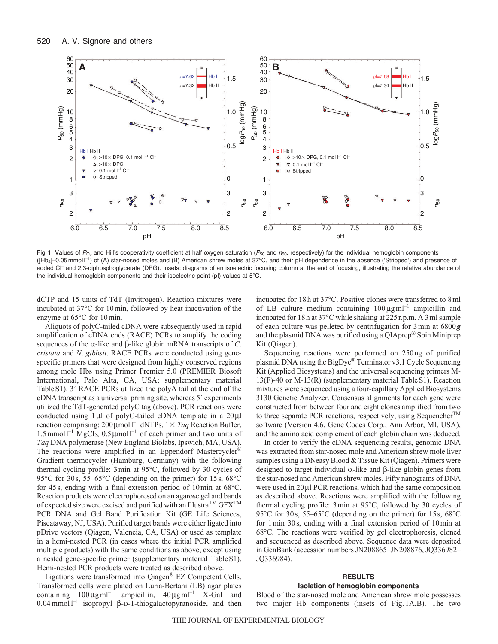

Fig. 1. Values of  $P_{\text{O}_2}$  and Hill's cooperativity coefficient at half oxygen saturation ( $P_{50}$  and  $n_{50}$ , respectively) for the individual hemoglobin components ([Hb<sub>4</sub>]=0.05 mmol <sup>[-1</sup>) of (A) star-nosed moles and (B) American shrew moles at 37°C, and their pH dependence in the absence ('Stripped') and presence of added Cl<sup>-</sup> and 2,3-diphosphoglycerate (DPG). Insets: diagrams of an isoelectric focusing column at the end of focusing, illustrating the relative abundance of the individual hemoglobin components and their isoelectric point (pI) values at 5°C.

dCTP and 15 units of TdT (Invitrogen). Reaction mixtures were incubated at 37°C for 10min, followed by heat inactivation of the enzyme at 65°C for 10min.

Aliquots of polyC-tailed cDNA were subsequently used in rapid amplification of cDNA ends (RACE) PCRs to amplify the coding sequences of the  $\alpha$ -like and  $\beta$ -like globin mRNA transcripts of *C*. *cristata* and *N*. *gibbsii*. RACE PCRs were conducted using genespecific primers that were designed from highly conserved regions among mole Hbs using Primer Premier 5.0 (PREMIER Biosoft International, Palo Alta, CA, USA; supplementary material Table S1). 3' RACE PCRs utilized the polyA tail at the end of the cDNA transcript as a universal priming site, whereas 5' experiments utilized the TdT-generated polyC tag (above). PCR reactions were conducted using  $1 \mu l$  of polyC-tailed cDNA template in a  $20 \mu l$ reaction comprising: 200µmol<sup>1-1</sup> dNTPs, 1× Taq Reaction Buffer,  $1.5$ mmol $l^{-1}$  MgCl<sub>2</sub>,  $0.5$ µmol $l^{-1}$  of each primer and two units of *Taq* DNA polymerase (New England Biolabs, Ipswich, MA, USA). The reactions were amplified in an Eppendorf Mastercycler<sup>®</sup> Gradient thermocycler (Hamburg, Germany) with the following thermal cycling profile: 3min at 95°C, followed by 30 cycles of 95°C for 30s, 55–65°C (depending on the primer) for 15s, 68°C for 45s, ending with a final extension period of 10min at 68°C. Reaction products were electrophoresed on an agarose gel and bands of expected size were excised and purified with an Illustra<sup>TM</sup>  $GFX^{TM}$ PCR DNA and Gel Band Purification Kit (GE Life Sciences, Piscataway, NJ, USA). Purified target bands were either ligated into pDrive vectors (Qiagen, Valencia, CA, USA) or used as template in a hemi-nested PCR (in cases where the initial PCR amplified multiple products) with the same conditions as above, except using a nested gene-specific primer (supplementary material TableS1). Hemi-nested PCR products were treated as described above.

Ligations were transformed into Qiagen® EZ Competent Cells. Transformed cells were plated on Luria-Bertani (LB) agar plates containing  $100 \mu\text{g} \text{ ml}^{-1}$  ampicillin,  $40 \mu\text{g} \text{ ml}^{-1}$  X-Gal and  $0.04$  mmol  $1^{-1}$  isopropyl  $\beta$ -D-1-thiogalactopyranoside, and then incubated for 18h at 37°C. Positive clones were transferred to 8ml of LB culture medium containing  $100 \mu g$  ml<sup>-1</sup> ampicillin and incubated for 18h at 37°C while shaking at 225r.p.m. A 3ml sample of each culture was pelleted by centrifugation for 3min at 6800*g* and the plasmid DNA was purified using a QIAprep® Spin Miniprep Kit (Qiagen).

Sequencing reactions were performed on 250ng of purified plasmid DNA using the BigDye® Terminator v3.1 Cycle Sequencing Kit (Applied Biosystems) and the universal sequencing primers M-13(F)-40 or M-13(R) (supplementary material TableS1). Reaction mixtures were sequenced using a four-capillary Applied Biosystems 3130 Genetic Analyzer. Consensus alignments for each gene were constructed from between four and eight clones amplified from two to three separate PCR reactions, respectively, using Sequencher<sup>TM</sup> software (Version 4.6, Gene Codes Corp., Ann Arbor, MI, USA), and the amino acid complement of each globin chain was deduced.

In order to verify the cDNA sequencing results, genomic DNA was extracted from star-nosed mole and American shrew mole liver samples using a DNeasy Blood & Tissue Kit (Qiagen). Primers were designed to target individual  $\alpha$ -like and  $\beta$ -like globin genes from the star-nosed and American shrew moles. Fifty nanograms of DNA were used in  $20 \mu$  PCR reactions, which had the same composition as described above. Reactions were amplified with the following thermal cycling profile: 3min at 95°C, followed by 30 cycles of 95°C for 30s, 55–65°C (depending on the primer) for 15s, 68°C for 1min 30s, ending with a final extension period of 10min at 68°C. The reactions were verified by gel electrophoresis, cloned and sequenced as described above. Sequence data were deposited in GenBank (accession numbers JN208865–JN208876, JQ336982– JQ336984).

### **RESULTS**

# **Isolation of hemoglobin components**

Blood of the star-nosed mole and American shrew mole possesses two major Hb components (insets of Fig. 1A,B). The two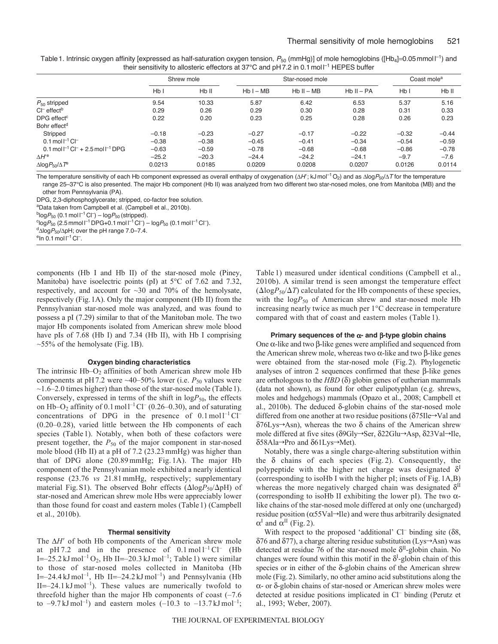| Table 1. Intrinsic oxygen affinity [expressed as half-saturation oxygen tension, $P_{50}$ (mmHg)] of mole hemoglobins ([Hb <sub>4</sub> ]=0.05 mmol $\Gamma$ <sup>1</sup> ) and |  |
|---------------------------------------------------------------------------------------------------------------------------------------------------------------------------------|--|
| their sensitivity to allosteric effectors at 37 $\degree$ C and pH 7.2 in 0.1 mol $\Box$ HEPES buffer                                                                           |  |

|                                                                         | Shrew mole |                   | Star-nosed mole |              |              | Coast mole <sup>a</sup> |         |
|-------------------------------------------------------------------------|------------|-------------------|-----------------|--------------|--------------|-------------------------|---------|
|                                                                         | Hb I       | H <sub>b</sub> II | $Hb I - MB$     | $Hb II - MB$ | $Hb II - PA$ | HbI                     | Hb II   |
| $P_{50}$ stripped                                                       | 9.54       | 10.33             | 5.87            | 6.42         | 6.53         | 5.37                    | 5.16    |
| $C\Gamma$ effect <sup>b</sup>                                           | 0.29       | 0.26              | 0.29            | 0.30         | 0.28         | 0.31                    | 0.33    |
| DPG effect <sup>c</sup>                                                 | 0.22       | 0.20              | 0.23            | 0.25         | 0.28         | 0.26                    | 0.23    |
| Bohr effect <sup>d</sup>                                                |            |                   |                 |              |              |                         |         |
| Stripped                                                                | $-0.18$    | $-0.23$           | $-0.27$         | $-0.17$      | $-0.22$      | $-0.32$                 | $-0.44$ |
| $0.1 \text{ mol}^{-1} \text{ Cl}^{-1}$                                  | $-0.38$    | $-0.38$           | $-0.45$         | $-0.41$      | $-0.34$      | $-0.54$                 | $-0.59$ |
| $0.1 \text{ mol}^{-1} \text{ Cl}^{-} + 2.5 \text{ mol}^{-1} \text{DPG}$ | $-0.63$    | $-0.59$           | $-0.78$         | $-0.68$      | $-0.68$      | $-0.86$                 | $-0.78$ |
| $\Delta H^{\prime e}$                                                   | $-25.2$    | $-20.3$           | $-24.4$         | $-24.2$      | $-24.1$      | $-9.7$                  | $-7.6$  |
| $\Delta$ log $P_{50}/\Delta T^e$                                        | 0.0213     | 0.0185            | 0.0209          | 0.0208       | 0.0207       | 0.0126                  | 0.0114  |

The temperature sensitivity of each Hb component expressed as overall enthalpy of oxygenation ( $\Delta H$ ; kJ mol<sup>-1</sup>O<sub>2</sub>) and as  $\Delta$ log $P_{50}/\Delta T$  for the temperature range 25–37°C is also presented. The major Hb component (Hb II) was analyzed from two different two star-nosed moles, one from Manitoba (MB) and the other from Pennsylvania (PA).

DPG, 2,3-diphosphoglycerate; stripped, co-factor free solution.

aData taken from Campbell et al. (Campbell et al., 2010b).

 $^{b}$ log $P_{50}$  (0.1 mol l<sup>-1</sup> Cl<sup>-</sup>) – log $P_{50}$  (stripped).

<sup>c</sup>log $P_{50}$  (2.5 mmol l<sup>-1</sup> DPG+0.1 mol l<sup>-1</sup> Cl<sup>-</sup>) – log $P_{50}$  (0.1 mol l<sup>-1</sup> Cl<sup>-</sup>).

 $d$ <sub> $\Delta$ log $P_{50}$ / $\Delta$ pH; over the pH range 7.0–7.4.</sub>

 $\mathrm{e}$ In 0.1 mol l $^{-1}$  Cl $^{-}$ .

components (Hb I and Hb II) of the star-nosed mole (Piney, Manitoba) have isoelectric points (pI) at 5°C of 7.62 and 7.32, respectively, and account for ~30 and 70% of the hemolysate, respectively (Fig.1A). Only the major component (Hb II) from the Pennsylvanian star-nosed mole was analyzed, and was found to possess a pI (7.29) similar to that of the Manitoban mole. The two major Hb components isolated from American shrew mole blood have pIs of 7.68 (Hb I) and 7.34 (Hb II), with Hb I comprising  $\sim$ 55% of the hemolysate (Fig. 1B).

### **Oxygen binding characteristics**

The intrinsic  $Hb-O<sub>2</sub>$  affinities of both American shrew mole  $Hb$ components at pH7.2 were  $\sim$ 40–50% lower (i.e.  $P_{50}$  values were  $\sim$ 1.6–2.0 times higher) than those of the star-nosed mole (Table 1). Conversely, expressed in terms of the shift in  $logP_{50}$ , the effects on Hb–O<sub>2</sub> affinity of  $0.1 \text{ mol} 1^{-1}$  Cl<sup>–</sup> (0.26–0.30), and of saturating concentrations of DPG in the presence of  $0.1 \text{ mol}^{-1} \text{Cl}^{-1}$ (0.20–0.28), varied little between the Hb components of each species (Table 1). Notably, when both of these cofactors were present together, the  $P_{50}$  of the major component in star-nosed mole blood (Hb II) at a pH of 7.2 (23.23mmHg) was higher than that of DPG alone (20.89mmHg; Fig. 1A). The major Hb component of the Pennsylvanian mole exhibited a nearly identical response (23.76 *vs* 21.81mmHg, respectively; supplementary material Fig. S1). The observed Bohr effects ( $\Delta$ log $P_{50}/\Delta$ pH) of star-nosed and American shrew mole Hbs were appreciably lower than those found for coast and eastern moles (Table1) (Campbell et al., 2010b).

## **Thermal sensitivity**

The  $\Delta H'$  of both Hb components of the American shrew mole at pH 7.2 and in the presence of  $0.1 \text{ mol}^{-1} \text{Cl}^-$  (Hb I= $-25.2$  kJ mol<sup>-1</sup> O<sub>2</sub>, Hb II= $-20.3$  kJ mol<sup>-1</sup>; Table 1) were similar to those of star-nosed moles collected in Manitoba (Hb I= $-24.4$  kJ mol<sup>-1</sup>, Hb II= $-24.2$  kJ mol<sup>-1</sup>) and Pennsylvania (Hb  $II=-24.1 \text{ kJ} \text{ mol}^{-1}$ ). These values are numerically twofold to threefold higher than the major Hb components of coast (–7.6 to  $-9.7 \text{ kJ} \text{ mol}^{-1}$ ) and eastern moles  $(-10.3 \text{ to } -13.7 \text{ kJ} \text{ mol}^{-1})$ ; Table 1) measured under identical conditions (Campbell et al., 2010b). A similar trend is seen amongst the temperature effect  $(\Delta log P_{50}/\Delta T)$  calculated for the Hb components of these species, with the logP<sub>50</sub> of American shrew and star-nosed mole Hb increasing nearly twice as much per 1°C decrease in temperature compared with that of coast and eastern moles (Table 1).

### **Primary sequences of the - and -type globin chains**

One  $\alpha$ -like and two  $\beta$ -like genes were amplified and sequenced from the American shrew mole, whereas two  $\alpha$ -like and two  $\beta$ -like genes were obtained from the star-nosed mole (Fig.2). Phylogenetic analyses of intron 2 sequences confirmed that these  $\beta$ -like genes are orthologous to the  $HBD$  ( $\delta$ ) globin genes of eutherian mammals (data not shown), as found for other eulipotyphlan (e.g. shrews, moles and hedgehogs) mammals (Opazo et al., 2008; Campbell et al., 2010b). The deduced  $\delta$ -globin chains of the star-nosed mole differed from one another at two residue positions ( $\delta$ 75Ile $\rightarrow$ Val and  $\delta$ 76Lys $\rightarrow$ Asn), whereas the two  $\delta$  chains of the American shrew mole differed at five sites ( $\delta$ 9Gly $\rightarrow$ Ser,  $\delta$ 22Glu $\rightarrow$ Asp,  $\delta$ 23Val $\rightarrow$ Ile,  $δ58Ala→Pro$  and  $δ61Lys→Met$ ).

Notably, there was a single charge-altering substitution within the  $\delta$  chains of each species (Fig. 2). Consequently, the polypeptide with the higher net charge was designated  $\delta^1$ (corresponding to isoHb I with the higher pI; insets of Fig. 1A,B) whereas the more negatively charged chain was designated  $\delta$ <sup>II</sup> (corresponding to isoHb II exhibiting the lower pI). The two  $\alpha$ like chains of the star-nosed mole differed at only one (uncharged) residue position ( $\alpha$ 55Val $\rightarrow$ Ile) and were thus arbitrarily designated  $\alpha^I$  and  $\alpha^{II}$  (Fig. 2).

With respect to the proposed 'additional' Cl<sup>–</sup> binding site  $(\delta 8,$  $\delta$ 76 and  $\delta$ 77), a charge altering residue substitution (Lys $\rightarrow$ Asn) was detected at residue 76 of the star-nosed mole  $\delta^{II}$ -globin chain. No changes were found within this motif in the  $\delta^I$ -globin chain of this species or in either of the  $\delta$ -globin chains of the American shrew mole (Fig.2). Similarly, no other amino acid substitutions along the  $\alpha$ - or  $\delta$ -globin chains of star-nosed or American shrew moles were detected at residue positions implicated in Cl<sup>-</sup> binding (Perutz et al., 1993; Weber, 2007).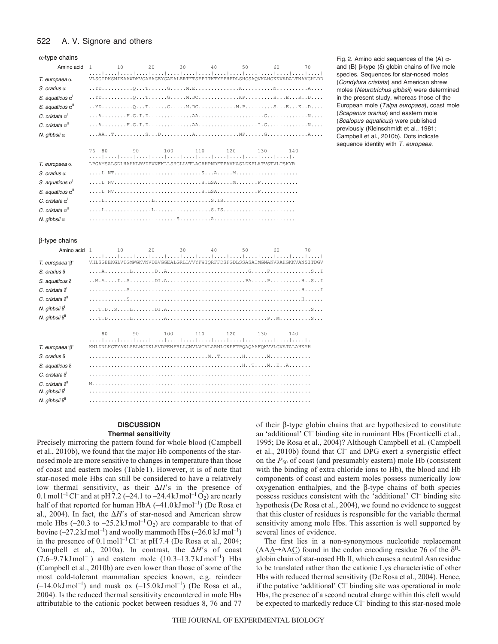#### 522 A. V. Signore and others

### α-type chains

| Amino acid                         | 10<br>20<br>$\overline{1}$                                                  | $\overline{30}$ | 40 50 | 60  | 70  |
|------------------------------------|-----------------------------------------------------------------------------|-----------------|-------|-----|-----|
| $T.$ europaea $\alpha$             | VLSGTDKSNIKAAWDKVGAHAGEYGAEALERTFTSFPTTKTYFPHFDLSHGSAOVKAHGKKVADALTNAVGHLDD |                 |       |     |     |
| S. orarius $\alpha$                |                                                                             |                 |       |     |     |
| S. aquaticus $\alpha^{\dagger}$    |                                                                             |                 |       |     |     |
| S. aquaticus $\alpha$ <sup>"</sup> | $YD$ QTGM.DCM.PSEKD                                                         |                 |       |     |     |
| C. cristata $\alpha^{\text{I}}$    |                                                                             |                 |       |     |     |
| C. cristata $\alpha^{\parallel}$   |                                                                             |                 |       |     |     |
| N. qibbsii $\alpha$                |                                                                             |                 |       |     |     |
|                                    | 80<br>90<br>76                                                              | 100<br>110      | 120   | 130 | 140 |
| $T.$ europaea $\alpha$             | LPGAMSALSDLHAHKLRVDPVNFKLLSHCLLVTLACHHPNDFTPAVHASLDKFLATVSTVLTSKYR          |                 |       |     |     |
| S. orarius $\alpha$                |                                                                             |                 |       |     |     |
| S. aquaticus $\alpha^{\dagger}$    | L NVS.LSAMF                                                                 |                 |       |     |     |
| S. aquaticus $\alpha$ <sup>"</sup> |                                                                             |                 |       |     |     |
| C. cristata $\alpha^{\text{I}}$    |                                                                             |                 |       |     |     |
| C. cristata $\alpha^{\parallel}$   |                                                                             |                 |       |     |     |
| N. gibbsii $\alpha$                |                                                                             |                 |       |     |     |

Fig. 2. Amino acid sequences of the (A)  $\alpha$ and (B)  $\beta$ -type ( $\delta$ ) globin chains of five mole species. Sequences for star-nosed moles (*Condylura cristata*) and American shrew moles (*Neurotrichus gibbsii*) were determined in the present study, whereas those of the European mole (*Talpa europaea*), coast mole (*Scapanus orarius*) and eastern mole (*Scalopus aquaticus*) were published previously (Kleinschmidt et al., 1981; Campbell et al., 2010b). Dots indicate sequence identity with *T. europaea*.

### β-type chains

| Amino acid                                                           | $\overline{1}$<br>10                                                        | 20  | 30  | 40 | 50         | 60  | 70 |
|----------------------------------------------------------------------|-----------------------------------------------------------------------------|-----|-----|----|------------|-----|----|
| T. europaea 'B'                                                      | VHLSGEEKGLVTGMWGKVNVDEVGGEALGRLLVVYPWTORFFDSFGDLSSASAIMGNAKVKAHGKKVANSITDGV |     |     |    |            |     |    |
| $S.$ orarius $\delta$                                                |                                                                             |     |     |    |            |     |    |
| S. aquaticus $\delta$                                                |                                                                             |     |     |    |            |     |    |
| C. cristata $\delta^1$                                               |                                                                             |     |     |    |            |     |    |
| C. cristata $\delta^{\parallel}$                                     |                                                                             |     |     |    |            |     |    |
| N. qibbsii $\delta^{\text{I}}$                                       |                                                                             |     |     |    |            |     |    |
| N. qibbsii $\delta^{\text{II}}$                                      |                                                                             |     |     |    |            |     |    |
|                                                                      | 80<br>90                                                                    | 100 | 110 |    | 120<br>130 | 140 |    |
| T. europaea 'B'                                                      | KNLDNLKGTYAKLSELHCDKLHVDPENFRLLGNVLVCVLARNLGKEFTPOAOAAFOKVVLGVATALAHKYH     |     |     |    |            |     |    |
| $S$ orarius $\delta$                                                 |                                                                             |     |     |    |            |     |    |
| S. aquaticus $\delta$                                                |                                                                             |     |     |    |            |     |    |
| C. cristata $\delta^1$                                               |                                                                             |     |     |    |            |     |    |
| C. cristata $\delta^{\parallel}$<br>N. gibbsii $\delta$ <sup>'</sup> |                                                                             |     |     |    |            |     |    |
| N. qibbsii $\delta^{\text{II}}$                                      |                                                                             |     |     |    |            |     |    |

# **DISCUSSION**

### **Thermal sensitivity**

Precisely mirroring the pattern found for whole blood (Campbell et al., 2010b), we found that the major Hb components of the starnosed mole are more sensitive to changes in temperature than those of coast and eastern moles (Table 1). However, it is of note that star-nosed mole Hbs can still be considered to have a relatively low thermal sensitivity, as their  $\Delta H$ 's in the presence of 0.1 mol<sup>1-1</sup> Cl<sup>-</sup> and at pH 7.2 (-24.1 to -24.4 kJ mol<sup>-1</sup> O<sub>2</sub>) are nearly half of that reported for human HbA (-41.0 kJ mol<sup>-1</sup>) (De Rosa et al., 2004). In fact, the  $\Delta H$ 's of star-nosed and American shrew mole Hbs (–20.3 to –25.2 kJ mol<sup>-1</sup>O<sub>2</sub>) are comparable to that of bovine  $(-27.2 \text{ kJ} \text{ mol}^{-1})$  and woolly mammoth Hbs  $(-26.0 \text{ kJ} \text{ mol}^{-1})$ in the presence of  $0.1 \text{ mol}^{-1}$  Cl<sup>-</sup> at pH7.4 (De Rosa et al., 2004; Campbell et al., 2010a). In contrast, the  $\Delta H$ 's of coast  $(7.6-9.7 \text{ kJ} \text{ mol}^{-1})$  and eastern mole  $(10.3-13.7 \text{ kJ} \text{ mol}^{-1})$  Hbs (Campbell et al., 2010b) are even lower than those of some of the most cold-tolerant mammalian species known, e.g. reindeer  $(-14.0 \text{ kJ} \text{mol}^{-1})$  and musk ox  $(-15.0 \text{ kJ} \text{mol}^{-1})$  (De Rosa et al., 2004). Is the reduced thermal sensitivity encountered in mole Hbs attributable to the cationic pocket between residues 8, 76 and 77 of their  $\beta$ -type globin chains that are hypothesized to constitute an 'additional' Cl– binding site in ruminant Hbs (Fronticelli et al., 1995; De Rosa et al., 2004)? Although Campbell et al. (Campbell et al., 2010b) found that Cl– and DPG exert a synergistic effect on the *P*<sup>50</sup> of coast (and presumably eastern) mole Hb (consistent with the binding of extra chloride ions to Hb), the blood and Hb components of coast and eastern moles possess numerically low  $oxygenation$  enthalpies, and the  $\beta$ -type chains of both species possess residues consistent with the 'additional' Cl– binding site hypothesis (De Rosa et al., 2004), we found no evidence to suggest that this cluster of residues is responsible for the variable thermal sensitivity among mole Hbs. This assertion is well supported by several lines of evidence.

The first lies in a non-synonymous nucleotide replacement  $(AA\underline{A}\rightarrow AA\underline{C})$  found in the codon encoding residue 76 of the  $\delta^{\text{II}}$ globin chain of star-nosed Hb II, which causes a neutral Asn residue to be translated rather than the cationic Lys characteristic of other Hbs with reduced thermal sensitivity (De Rosa et al., 2004). Hence, if the putative 'additional' Cl– binding site was operational in mole Hbs, the presence of a second neutral charge within this cleft would be expected to markedly reduce Cl<sup>-</sup> binding to this star-nosed mole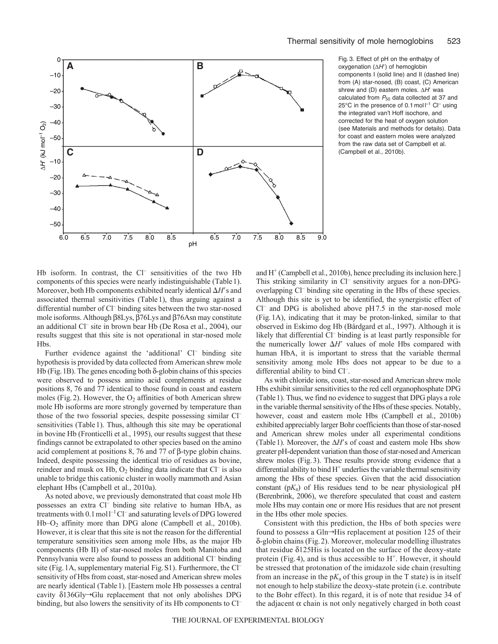

Fig. 3. Effect of pH on the enthalpy of oxygenation  $(\Delta H')$  of hemoglobin components I (solid line) and II (dashed line) from (A) star-nosed, (B) coast, (C) American shrew and (D) eastern moles.  $\Delta H'$  was calculated from  $P_{50}$  data collected at 37 and 25°C in the presence of 0.1 mol  $\mathsf{I}^{-1}$  Cl<sup>-</sup> using the integrated van't Hoff isochore, and corrected for the heat of oxygen solution (see Materials and methods for details). Data for coast and eastern moles were analyzed from the raw data set of Campbell et al. (Campbell et al., 2010b).

Hb isoform. In contrast, the Cl<sup>-</sup> sensitivities of the two Hb components of this species were nearly indistinguishable (Table1). Moreover, both Hb components exhibited nearly identical  $\Delta H$ 's and associated thermal sensitivities (Table1), thus arguing against a differential number of Cl<sup>-</sup> binding sites between the two star-nosed mole isoforms. Although  $\beta$ 8Lys,  $\beta$ 76Lys and  $\beta$ 76Asn may constitute an additional Cl– site in brown bear Hb (De Rosa et al., 2004), our results suggest that this site is not operational in star-nosed mole Hbs.

Further evidence against the 'additional' Cl<sup>-</sup> binding site hypothesis is provided by data collected from American shrew mole Hb (Fig. 1B). The genes encoding both  $\delta$ -globin chains of this species were observed to possess amino acid complements at residue positions 8, 76 and 77 identical to those found in coast and eastern moles (Fig. 2). However, the  $O_2$  affinities of both American shrew mole Hb isoforms are more strongly governed by temperature than those of the two fossorial species, despite possessing similar Cl– sensitivities (Table 1). Thus, although this site may be operational in bovine Hb (Fronticelli et al., 1995), our results suggest that these findings cannot be extrapolated to other species based on the amino acid complement at positions 8, 76 and 77 of  $\beta$ -type globin chains. Indeed, despite possessing the identical trio of residues as bovine, reindeer and musk ox Hb,  $O_2$  binding data indicate that  $Cl^-$  is also unable to bridge this cationic cluster in woolly mammoth and Asian elephant Hbs (Campbell et al., 2010a).

As noted above, we previously demonstrated that coast mole Hb possesses an extra Cl<sup>-</sup> binding site relative to human HbA, as treatments with  $0.1 \text{ mol}^{-1} \text{Cl}^-$  and saturating levels of DPG lowered Hb–O2 affinity more than DPG alone (Campbell et al., 2010b). However, it is clear that this site is not the reason for the differential temperature sensitivities seen among mole Hbs, as the major Hb components (Hb II) of star-nosed moles from both Manitoba and Pennsylvania were also found to possess an additional Cl<sup>-</sup> binding site (Fig.1A, supplementary material Fig.S1). Furthermore, the Cl– sensitivity of Hbs from coast, star-nosed and American shrew moles are nearly identical (Table1). [Eastern mole Hb possesses a central cavity  $\delta$ 136Gly $\rightarrow$ Glu replacement that not only abolishes DPG binding, but also lowers the sensitivity of its Hb components to Cl<sup>-</sup> and  $H^+$  (Campbell et al., 2010b), hence precluding its inclusion here.] This striking similarity in Cl<sup>–</sup> sensitivity argues for a non-DPGoverlapping Cl– binding site operating in the Hbs of these species. Although this site is yet to be identified, the synergistic effect of  $Cl^-$  and DPG is abolished above  $pH7.5$  in the star-nosed mole (Fig.1A), indicating that it may be proton-linked, similar to that observed in Eskimo dog Hb (Bårdgard et al., 1997). Although it is likely that differential Cl<sup>-</sup> binding is at least partly responsible for the numerically lower  $\Delta H'$  values of mole Hbs compared with human HbA, it is important to stress that the variable thermal sensitivity among mole Hbs does not appear to be due to a differential ability to bind Cl<sup>-</sup>.

As with chloride ions, coast, star-nosed and American shrew mole Hbs exhibit similar sensitivities to the red cell organophosphate DPG (Table1). Thus, we find no evidence to suggest that DPG plays a role in the variable thermal sensitivity of the Hbs of these species. Notably, however, coast and eastern mole Hbs (Campbell et al., 2010b) exhibited appreciably larger Bohr coefficients than those of star-nosed and American shrew moles under all experimental conditions (Table 1). Moreover, the  $\Delta H$ 's of coast and eastern mole Hbs show greater pH-dependent variation than those of star-nosed and American shrew moles (Fig.3). These results provide strong evidence that a differential ability to bind  $H^+$  underlies the variable thermal sensitivity among the Hbs of these species. Given that the acid dissociation constant (p*K*a) of His residues tend to be near physiological pH (Berenbrink, 2006), we therefore speculated that coast and eastern mole Hbs may contain one or more His residues that are not present in the Hbs other mole species.

Consistent with this prediction, the Hbs of both species were found to possess a Gln $\rightarrow$ His replacement at position 125 of their -globin chains (Fig.2). Moreover, molecular modelling illustrates that residue  $\delta$ 125His is located on the surface of the deoxy-state protein (Fig.4), and is thus accessible to  $H^+$ . However, it should be stressed that protonation of the imidazole side chain (resulting from an increase in the  $pK_a$  of this group in the T state) is in itself not enough to help stabilize the deoxy-state protein (i.e. contribute to the Bohr effect). In this regard, it is of note that residue 34 of the adjacent  $\alpha$  chain is not only negatively charged in both coast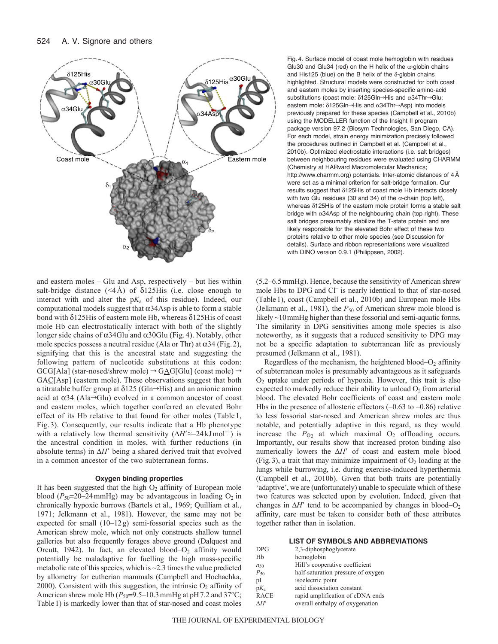

and eastern moles – Glu and Asp, respectively – but lies within salt-bridge distance  $(\leq 4 \text{ Å})$  of  $\delta$ 125His (i.e. close enough to interact with and alter the p*K*<sup>a</sup> of this residue). Indeed, our computational models suggest that  $\alpha$ 34Asp is able to form a stable bond with  $\delta$ 125His of eastern mole Hb, whereas  $\delta$ 125His of coast mole Hb can electrostatically interact with both of the slightly longer side chains of  $\alpha$ 34Glu and  $\alpha$ 30Glu (Fig. 4). Notably, other mole species possess a neutral residue (Ala or Thr) at  $\alpha$ 34 (Fig. 2), signifying that this is the ancestral state and suggesting the following pattern of nucleotide substitutions at this codon:  $GCG[Ala]$  (star-nosed/shrew mole)  $\rightarrow$  GAG[Glu] (coast mole)  $\rightarrow$ GAC[Asp] (eastern mole). These observations suggest that both a titratable buffer group at  $\delta$ 125 (Gln $\rightarrow$ His) and an anionic amino acid at  $\alpha$ 34 (Ala $\rightarrow$ Glu) evolved in a common ancestor of coast and eastern moles, which together conferred an elevated Bohr effect of its Hb relative to that found for other moles (Table 1, Fig. 3). Consequently, our results indicate that a Hb phenotype with a relatively low thermal sensitivity  $(\Delta H \approx -24 \text{ kJ} \text{mol}^{-1})$  is the ancestral condition in moles, with further reductions (in absolute terms) in  $\Delta H'$  being a shared derived trait that evolved in a common ancestor of the two subterranean forms.

## **Oxygen binding properties**

It has been suggested that the high  $O<sub>2</sub>$  affinity of European mole blood  $(P_{50}=20-24 \text{ mmHg})$  may be advantageous in loading  $O_2$  in chronically hypoxic burrows (Bartels et al., 1969; Quilliam et al., 1971; Jelkmann et al., 1981). However, the same may not be expected for small (10–12g) semi-fossorial species such as the American shrew mole, which not only constructs shallow tunnel galleries but also frequently forages above ground (Dalquest and Orcutt, 1942). In fact, an elevated blood– $O_2$  affinity would potentially be maladaptive for fuelling the high mass-specific metabolic rate of this species, which is  $\sim$  2.3 times the value predicted by allometry for eutherian mammals (Campbell and Hochachka, 2000). Consistent with this suggestion, the intrinsic  $O_2$  affinity of American shrew mole Hb  $(P_{50}=9.5-10.3 \text{ mmHg}$  at pH 7.2 and 37°C; Table1) is markedly lower than that of star-nosed and coast moles Fig. 4. Surface model of coast mole hemoglobin with residues Glu30 and Glu34 (red) on the H helix of the  $\alpha$ -globin chains and His125 (blue) on the B helix of the  $\delta$ -globin chains highlighted. Structural models were constructed for both coast and eastern moles by inserting species-specific amino-acid substitutions (coast mole:  $\delta$ 125Gln-His and  $\alpha$ 34Thr-Glu; eastern mole:  $\delta$ 125Gln $\rightarrow$ His and  $\alpha$ 34Thr $\rightarrow$ Asp) into models previously prepared for these species (Campbell et al., 2010b) using the MODELLER function of the Insight II program package version 97.2 (Biosym Technologies, San Diego, CA). For each model, strain energy minimization precisely followed the procedures outlined in Campbell et al. (Campbell et al., 2010b). Optimized electrostatic interactions (i.e. salt bridges) between neighbouring residues were evaluated using CHARMM (Chemistry at HARvard Macromolecular Mechanics; http://www.charmm.org) potentials. Inter-atomic distances of 4Å were set as a minimal criterion for salt-bridge formation. Our results suggest that  $\delta$ 125His of coast mole Hb interacts closely with two Glu residues (30 and 34) of the  $\alpha$ -chain (top left), whereas  $\delta$ 125His of the eastern mole protein forms a stable salt bridge with  $\alpha$ 34Asp of the neighbouring chain (top right). These salt bridges presumably stabilize the T-state protein and are likely responsible for the elevated Bohr effect of these two proteins relative to other mole species (see Discussion for details). Surface and ribbon representations were visualized with DINO version 0.9.1 (Philippsen, 2002).

(5.2–6.5mmHg). Hence, because the sensitivity of American shrew mole Hbs to DPG and Cl– is nearly identical to that of star-nosed (Table1), coast (Campbell et al., 2010b) and European mole Hbs (Jelkmann et al., 1981), the  $P_{50}$  of American shrew mole blood is likely ~10 mmHg higher than these fossorial and semi-aquatic forms. The similarity in DPG sensitivities among mole species is also noteworthy, as it suggests that a reduced sensitivity to DPG may not be a specific adaptation to subterranean life as previously presumed (Jelkmann et al., 1981).

Regardless of the mechanism, the heightened blood– $O_2$  affinity of subterranean moles is presumably advantageous as it safeguards O2 uptake under periods of hypoxia. However, this trait is also expected to markedly reduce their ability to unload  $O<sub>2</sub>$  from arterial blood. The elevated Bohr coefficients of coast and eastern mole Hbs in the presence of allosteric effectors  $(-0.63 \text{ to } -0.86)$  relative to less fossorial star-nosed and American shrew moles are thus notable, and potentially adaptive in this regard, as they would increase the  $P_{O_2}$  at which maximal  $O_2$  offloading occurs. Importantly, our results show that increased proton binding also numerically lowers the  $\Delta H'$  of coast and eastern mole blood (Fig. 3), a trait that may minimize impairment of  $O_2$  loading at the lungs while burrowing, i.e. during exercise-induced hyperthermia (Campbell et al., 2010b). Given that both traits are potentially 'adaptive', we are (unfortunately) unable to speculate which of these two features was selected upon by evolution. Indeed, given that changes in  $\Delta H'$  tend to be accompanied by changes in blood–O<sub>2</sub> affinity, care must be taken to consider both of these attributes together rather than in isolation.

### **LIST OF SYMBOLS AND ABBREVIATIONS**

| DPG          | 2.3-diphosphoglycerate             |
|--------------|------------------------------------|
| Hb           | hemoglobin                         |
| $n_{50}$     | Hill's cooperative coefficient     |
| $P_{50}$     | half-saturation pressure of oxygen |
| pI           | isoelectric point                  |
| $pK_a$       | acid dissociation constant         |
| <b>RACE</b>  | rapid amplification of cDNA ends   |
| $\Lambda H'$ | overall enthalpy of oxygenation    |